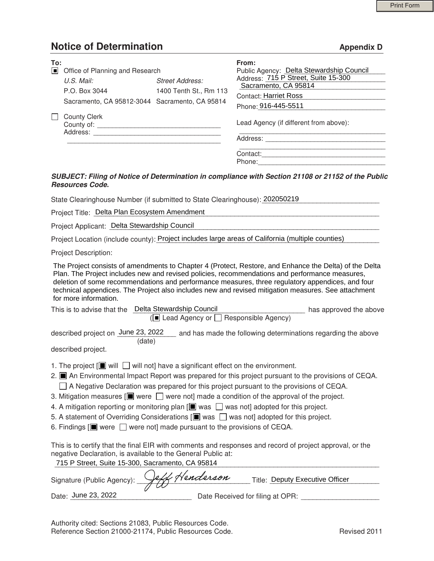# **Notice of Determination** Appendix D **Appendix D**

| To: | Office of Planning and Research                                                                                  |                                         | From:<br>Public Agency: Delta Stewardship Council                                                                                                                                                                                                                                                                                                                                                                   |  |
|-----|------------------------------------------------------------------------------------------------------------------|-----------------------------------------|---------------------------------------------------------------------------------------------------------------------------------------------------------------------------------------------------------------------------------------------------------------------------------------------------------------------------------------------------------------------------------------------------------------------|--|
|     | U.S. Mail:                                                                                                       | <b>Street Address:</b>                  | Address: 715 P Street, Suite 15-300<br>Sacramento, CA 95814                                                                                                                                                                                                                                                                                                                                                         |  |
|     | P.O. Box 3044                                                                                                    | 1400 Tenth St., Rm 113                  | <b>Contact: Harriet Ross</b>                                                                                                                                                                                                                                                                                                                                                                                        |  |
|     | Sacramento, CA 95812-3044 Sacramento, CA 95814                                                                   |                                         | the control of the control of the control of the control of the control of<br>Phone: 916-445-5511                                                                                                                                                                                                                                                                                                                   |  |
|     | <b>County Clerk</b>                                                                                              |                                         | the control of the control of the control of the control of the control of<br>Lead Agency (if different from above):                                                                                                                                                                                                                                                                                                |  |
|     |                                                                                                                  |                                         |                                                                                                                                                                                                                                                                                                                                                                                                                     |  |
|     |                                                                                                                  |                                         |                                                                                                                                                                                                                                                                                                                                                                                                                     |  |
|     | <b>Resources Code.</b>                                                                                           |                                         | SUBJECT: Filing of Notice of Determination in compliance with Section 21108 or 21152 of the Public                                                                                                                                                                                                                                                                                                                  |  |
|     | State Clearinghouse Number (if submitted to State Clearinghouse): 202050219                                      |                                         |                                                                                                                                                                                                                                                                                                                                                                                                                     |  |
|     | Project Title: Delta Plan Ecosystem Amendment                                                                    |                                         | <u> 1989 - Johann John Stoff, deutscher Stoffen und der Stoffen und der Stoffen und der Stoffen und der Stoffen</u>                                                                                                                                                                                                                                                                                                 |  |
|     | Project Applicant: Delta Stewardship Council                                                                     |                                         |                                                                                                                                                                                                                                                                                                                                                                                                                     |  |
|     |                                                                                                                  |                                         | Project Location (include county): Project includes large areas of California (multiple counties)                                                                                                                                                                                                                                                                                                                   |  |
|     | <b>Project Description:</b>                                                                                      |                                         |                                                                                                                                                                                                                                                                                                                                                                                                                     |  |
|     | for more information.                                                                                            |                                         | The Project consists of amendments to Chapter 4 (Protect, Restore, and Enhance the Delta) of the Delta<br>Plan. The Project includes new and revised policies, recommendations and performance measures,<br>deletion of some recommendations and performance measures, three regulatory appendices, and four<br>technical appendices. The Project also includes new and revised mitigation measures. See attachment |  |
|     | This is to advise that the Delta Stewardship Council                                                             | (■ Lead Agency or □ Responsible Agency) | has approved the above                                                                                                                                                                                                                                                                                                                                                                                              |  |
|     | (date)                                                                                                           |                                         | described project on June 23, 2022 __ and has made the following determinations regarding the above                                                                                                                                                                                                                                                                                                                 |  |
|     | described project.                                                                                               |                                         |                                                                                                                                                                                                                                                                                                                                                                                                                     |  |
|     | 1. The project $[\blacksquare]$ will $\Box$ will not] have a significant effect on the environment.              |                                         | 2. <b>I</b> An Environmental Impact Report was prepared for this project pursuant to the provisions of CEQA.<br>$\Box$ A Negative Declaration was prepared for this project pursuant to the provisions of CEQA.                                                                                                                                                                                                     |  |
|     |                                                                                                                  |                                         | 3. Mitigation measures $[\blacksquare]$ were $\Box$ were not made a condition of the approval of the project.                                                                                                                                                                                                                                                                                                       |  |
|     |                                                                                                                  |                                         | 4. A mitigation reporting or monitoring plan [I] was $\Box$ was not] adopted for this project.                                                                                                                                                                                                                                                                                                                      |  |
|     | 6. Findings $[\blacksquare]$ were $\Box$ were not] made pursuant to the provisions of CEQA.                      |                                         | 5. A statement of Overriding Considerations $[\blacksquare]$ was $\Box$ was not] adopted for this project.                                                                                                                                                                                                                                                                                                          |  |
|     |                                                                                                                  |                                         |                                                                                                                                                                                                                                                                                                                                                                                                                     |  |
|     | negative Declaration, is available to the General Public at:<br>715 P Street, Suite 15-300, Sacramento, CA 95814 |                                         | This is to certify that the final EIR with comments and responses and record of project approval, or the                                                                                                                                                                                                                                                                                                            |  |
|     | Signature (Public Agency):                                                                                       | 4 Henderson                             | Title: Deputy Executive Officer                                                                                                                                                                                                                                                                                                                                                                                     |  |
|     | Date: June 23, 2022                                                                                              |                                         | Date Received for filing at OPR:                                                                                                                                                                                                                                                                                                                                                                                    |  |

#### *SUBJECT: Filing of Notice of Determination in compliance with Section 21108 or 21152 of the Public Resources Code.*

| for more information.                                |                                                               |                        |  |  |  |  |  |
|------------------------------------------------------|---------------------------------------------------------------|------------------------|--|--|--|--|--|
| This is to advise that the                           | Delta Stewardship Council                                     | has approved the above |  |  |  |  |  |
| $\sqrt{2}$ Lead Agency or $\Box$ Responsible Agency) |                                                               |                        |  |  |  |  |  |
| described project on June 23, 2022                   | and has made the following determinations regarding the above |                        |  |  |  |  |  |

- 1. The project  $[\blacksquare]$  will  $\blacksquare$  will not] have a significant effect on the environment.
- 2. An Environmental Impact Report was prepared for this project pursuant to the provisions of CEQA.  $\Box$  A Negative Declaration was prepared for this project pursuant to the provisions of CEQA.
- 3. Mitigation measures  $[\blacksquare]$  were  $\bigsqcup$  were not] made a condition of the approval of the project.
- 4. A mitigation reporting or monitoring plan  $[\blacksquare$  was  $\Box$  was not] adopted for this project.
- 5. A statement of Overriding Considerations  $[\blacksquare]$  was  $\Box$  was not] adopted for this project.
- 6. Findings  $[\blacksquare]$  were  $\Box$  were not] made pursuant to the provisions of CEQA.

| Signature (Public Agency): _ | Jeff Henderson |                                  | Title: Deputy Executive Officer |
|------------------------------|----------------|----------------------------------|---------------------------------|
| Date: June 23, 2022          |                | Date Received for filing at OPR: |                                 |

 Authority cited: Sections 21083, Public Resources Code. Reference Section 21000-21174, Public Resources Code. The revised 2011 Revised 2011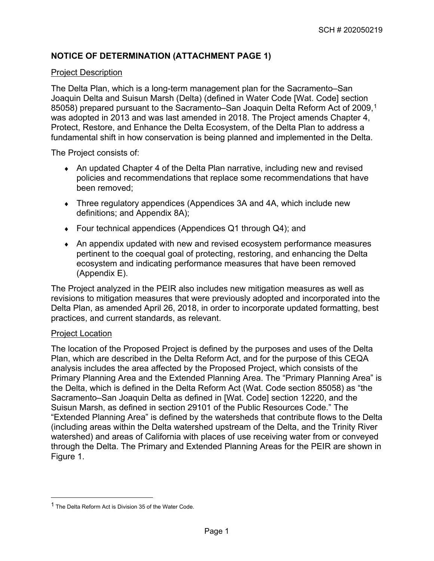## **NOTICE OF DETERMINATION (ATTACHMENT PAGE 1)**

### Project Description

The Delta Plan, which is a long-term management plan for the Sacramento–San Joaquin Delta and Suisun Marsh (Delta) (defined in Water Code [Wat. Code] section 85058) prepared pursuant to the Sacramento–San Joaquin Delta Reform Act of 2009,<sup>[1](#page-1-0)</sup> was adopted in 2013 and was last amended in 2018. The Project amends Chapter 4, Protect, Restore, and Enhance the Delta Ecosystem, of the Delta Plan to address a fundamental shift in how conservation is being planned and implemented in the Delta.

The Project consists of:

- ♦ An updated Chapter 4 of the Delta Plan narrative, including new and revised policies and recommendations that replace some recommendations that have been removed;
- Three regulatory appendices (Appendices 3A and 4A, which include new definitions; and Appendix 8A);
- ♦ Four technical appendices (Appendices Q1 through Q4); and
- An appendix updated with new and revised ecosystem performance measures pertinent to the coequal goal of protecting, restoring, and enhancing the Delta ecosystem and indicating performance measures that have been removed (Appendix E).

The Project analyzed in the PEIR also includes new mitigation measures as well as revisions to mitigation measures that were previously adopted and incorporated into the Delta Plan, as amended April 26, 2018, in order to incorporate updated formatting, best practices, and current standards, as relevant.

#### Project Location

The location of the Proposed Project is defined by the purposes and uses of the Delta Plan, which are described in the Delta Reform Act, and for the purpose of this CEQA analysis includes the area affected by the Proposed Project, which consists of the Primary Planning Area and the Extended Planning Area. The "Primary Planning Area" is the Delta, which is defined in the Delta Reform Act (Wat. Code section 85058) as "the Sacramento–San Joaquin Delta as defined in [Wat. Code] section 12220, and the Suisun Marsh, as defined in section 29101 of the Public Resources Code." The "Extended Planning Area" is defined by the watersheds that contribute flows to the Delta (including areas within the Delta watershed upstream of the Delta, and the Trinity River watershed) and areas of California with places of use receiving water from or conveyed through the Delta. The Primary and Extended Planning Areas for the PEIR are shown in Figure 1.

<span id="page-1-0"></span><sup>&</sup>lt;sup>1</sup> The Delta Reform Act is Division 35 of the Water Code.